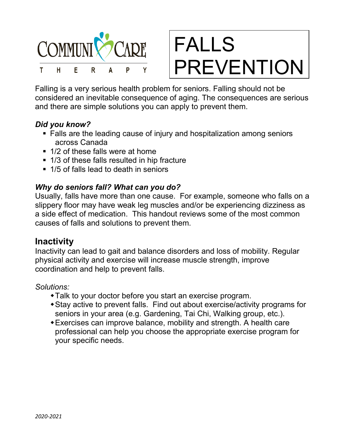



Falling is a very serious health problem for seniors. Falling should not be considered an inevitable consequence of aging. The consequences are serious and there are simple solutions you can apply to prevent them.

### *Did you know?*

- Falls are the leading cause of injury and hospitalization among seniors across Canada
- 1/2 of these falls were at home
- 1/3 of these falls resulted in hip fracture
- 1/5 of falls lead to death in seniors

### *Why do seniors fall? What can you do?*

Usually, falls have more than one cause. For example, someone who falls on a slippery floor may have weak leg muscles and/or be experiencing dizziness as a side effect of medication. This handout reviews some of the most common causes of falls and solutions to prevent them.

## **Inactivity**

Inactivity can lead to gait and balance disorders and loss of mobility. Regular physical activity and exercise will increase muscle strength, improve coordination and help to prevent falls.

*Solutions:*

- Talk to your doctor before you start an exercise program.
- Stay active to prevent falls. Find out about exercise/activity programs for seniors in your area (e.g. Gardening, Tai Chi, Walking group, etc.).
- Exercises can improve balance, mobility and strength. A health care professional can help you choose the appropriate exercise program for your specific needs.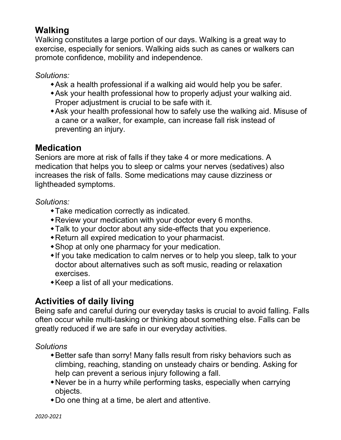# **Walking**

Walking constitutes a large portion of our days. Walking is a great way to exercise, especially for seniors. Walking aids such as canes or walkers can promote confidence, mobility and independence.

*Solutions:*

- Ask a health professional if a walking aid would help you be safer.
- Ask your health professional how to properly adjust your walking aid. Proper adjustment is crucial to be safe with it.
- Ask your health professional how to safely use the walking aid. Misuse of a cane or a walker, for example, can increase fall risk instead of preventing an injury.

# **Medication**

Seniors are more at risk of falls if they take 4 or more medications. A medication that helps you to sleep or calms your nerves (sedatives) also increases the risk of falls. Some medications may cause dizziness or lightheaded symptoms.

### *Solutions:*

- Take medication correctly as indicated.
- Review your medication with your doctor every 6 months.
- Talk to your doctor about any side-effects that you experience.
- Return all expired medication to your pharmacist.
- Shop at only one pharmacy for your medication.
- If you take medication to calm nerves or to help you sleep, talk to your doctor about alternatives such as soft music, reading or relaxation exercises.
- Keep a list of all your medications.

# **Activities of daily living**

Being safe and careful during our everyday tasks is crucial to avoid falling. Falls often occur while multi-tasking or thinking about something else. Falls can be greatly reduced if we are safe in our everyday activities.

*Solutions*

- Better safe than sorry! Many falls result from risky behaviors such as climbing, reaching, standing on unsteady chairs or bending. Asking for help can prevent a serious injury following a fall.
- Never be in a hurry while performing tasks, especially when carrying objects.
- Do one thing at a time, be alert and attentive.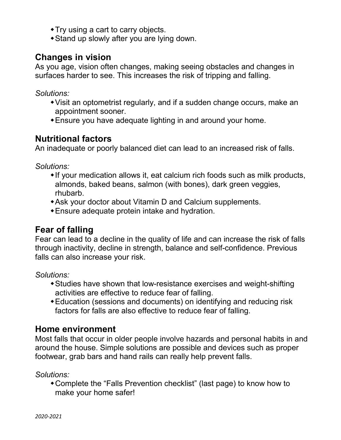- Try using a cart to carry objects.
- Stand up slowly after you are lying down.

## **Changes in vision**

As you age, vision often changes, making seeing obstacles and changes in surfaces harder to see. This increases the risk of tripping and falling.

*Solutions:*

- Visit an optometrist regularly, and if a sudden change occurs, make an appointment sooner.
- Ensure you have adequate lighting in and around your home.

## **Nutritional factors**

An inadequate or poorly balanced diet can lead to an increased risk of falls.

*Solutions:*

- If your medication allows it, eat calcium rich foods such as milk products, almonds, baked beans, salmon (with bones), dark green veggies, rhubarb.
- Ask your doctor about Vitamin D and Calcium supplements.
- Ensure adequate protein intake and hydration.

# **Fear of falling**

Fear can lead to a decline in the quality of life and can increase the risk of falls through inactivity, decline in strength, balance and self-confidence. Previous falls can also increase your risk.

*Solutions:* 

- Studies have shown that low-resistance exercises and weight-shifting activities are effective to reduce fear of falling.
- Education (sessions and documents) on identifying and reducing risk factors for falls are also effective to reduce fear of falling.

## **Home environment**

Most falls that occur in older people involve hazards and personal habits in and around the house. Simple solutions are possible and devices such as proper footwear, grab bars and hand rails can really help prevent falls.

*Solutions:*

Complete the "Falls Prevention checklist" (last page) to know how to make your home safer!